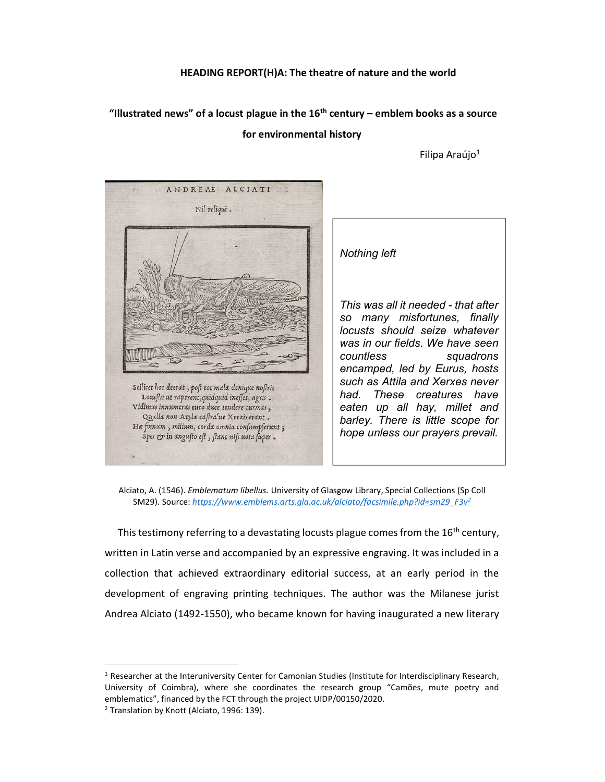## HEADING REPORT(H)A: The theatre of nature and the world

## "Illustrated news" of a locust plague in the  $16<sup>th</sup>$  century – emblem books as a source for environmental history

Filipa Araújo<sup>1</sup>



Nothing left

This was all it needed - that after so many misfortunes, finally locusts should seize whatever was in our fields. We have seen countless squadrons encamped, led by Eurus, hosts such as Attila and Xerxes never had. These creatures have eaten up all hay, millet and barley. There is little scope for hope unless our prayers prevail.

Alciato, A. (1546). Emblematum libellus. University of Glasgow Library, Special Collections (Sp Coll SM29). Source: https://www.emblems.arts.gla.ac.uk/alciato/facsimile.php?id=sm29\_F3v<sup>2</sup>

This testimony referring to a devastating locusts plague comes from the  $16<sup>th</sup>$  century, written in Latin verse and accompanied by an expressive engraving. It was included in a collection that achieved extraordinary editorial success, at an early period in the development of engraving printing techniques. The author was the Milanese jurist Andrea Alciato (1492-1550), who became known for having inaugurated a new literary

-

<sup>&</sup>lt;sup>1</sup> Researcher at the Interuniversity Center for Camonian Studies (Institute for Interdisciplinary Research, University of Coimbra), where she coordinates the research group "Camões, mute poetry and emblematics", financed by the FCT through the project UIDP/00150/2020.

<sup>&</sup>lt;sup>2</sup> Translation by Knott (Alciato, 1996: 139).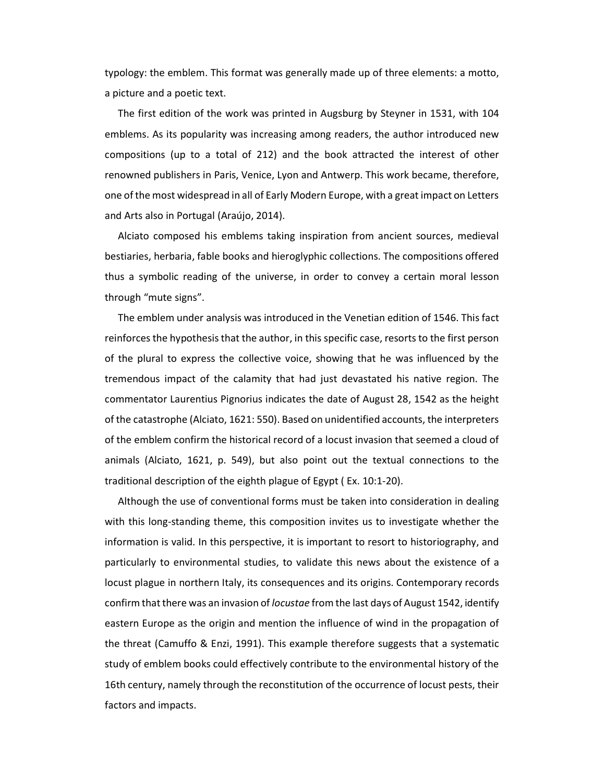typology: the emblem. This format was generally made up of three elements: a motto, a picture and a poetic text.

The first edition of the work was printed in Augsburg by Steyner in 1531, with 104 emblems. As its popularity was increasing among readers, the author introduced new compositions (up to a total of 212) and the book attracted the interest of other renowned publishers in Paris, Venice, Lyon and Antwerp. This work became, therefore, one of the most widespread in all of Early Modern Europe, with a great impact on Letters and Arts also in Portugal (Araújo, 2014).

Alciato composed his emblems taking inspiration from ancient sources, medieval bestiaries, herbaria, fable books and hieroglyphic collections. The compositions offered thus a symbolic reading of the universe, in order to convey a certain moral lesson through "mute signs".

The emblem under analysis was introduced in the Venetian edition of 1546. This fact reinforces the hypothesis that the author, in this specific case, resorts to the first person of the plural to express the collective voice, showing that he was influenced by the tremendous impact of the calamity that had just devastated his native region. The commentator Laurentius Pignorius indicates the date of August 28, 1542 as the height of the catastrophe (Alciato, 1621: 550). Based on unidentified accounts, the interpreters of the emblem confirm the historical record of a locust invasion that seemed a cloud of animals (Alciato, 1621, p. 549), but also point out the textual connections to the traditional description of the eighth plague of Egypt ( Ex. 10:1-20).

Although the use of conventional forms must be taken into consideration in dealing with this long-standing theme, this composition invites us to investigate whether the information is valid. In this perspective, it is important to resort to historiography, and particularly to environmental studies, to validate this news about the existence of a locust plague in northern Italy, its consequences and its origins. Contemporary records confirm that there was an invasion of locustae from the last days of August 1542, identify eastern Europe as the origin and mention the influence of wind in the propagation of the threat (Camuffo & Enzi, 1991). This example therefore suggests that a systematic study of emblem books could effectively contribute to the environmental history of the 16th century, namely through the reconstitution of the occurrence of locust pests, their factors and impacts.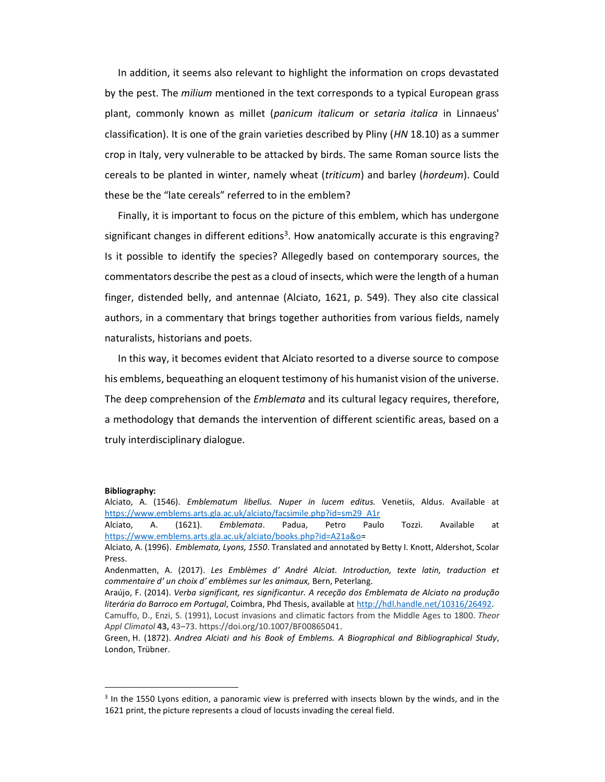In addition, it seems also relevant to highlight the information on crops devastated by the pest. The *milium* mentioned in the text corresponds to a typical European grass plant, commonly known as millet (panicum italicum or setaria italica in Linnaeus' classification). It is one of the grain varieties described by Pliny (HN 18.10) as a summer crop in Italy, very vulnerable to be attacked by birds. The same Roman source lists the cereals to be planted in winter, namely wheat (triticum) and barley (hordeum). Could these be the "late cereals" referred to in the emblem?

Finally, it is important to focus on the picture of this emblem, which has undergone significant changes in different editions<sup>3</sup>. How anatomically accurate is this engraving? Is it possible to identify the species? Allegedly based on contemporary sources, the commentators describe the pest as a cloud of insects, which were the length of a human finger, distended belly, and antennae (Alciato, 1621, p. 549). They also cite classical authors, in a commentary that brings together authorities from various fields, namely naturalists, historians and poets.

In this way, it becomes evident that Alciato resorted to a diverse source to compose his emblems, bequeathing an eloquent testimony of his humanist vision of the universe. The deep comprehension of the *Emblemata* and its cultural legacy requires, therefore, a methodology that demands the intervention of different scientific areas, based on a truly interdisciplinary dialogue.

## Bibliography:

-

Alciato, A. (1546). Emblematum libellus. Nuper in lucem editus. Venetiis, Aldus. Available at https://www.emblems.arts.gla.ac.uk/alciato/facsimile.php?id=sm29\_A1r

Alciato, A. (1621). *Emblemata*. Padua, Petro Paulo Tozzi. Available at https://www.emblems.arts.gla.ac.uk/alciato/books.php?id=A21a&o=

Alciato, A. (1996). Emblemata, Lyons, 1550. Translated and annotated by Betty I. Knott, Aldershot, Scolar Press.

Andenmatten, A. (2017). Les Emblèmes d' André Alciat. Introduction, texte latin, traduction et commentaire d' un choix d' emblèmes sur les animaux, Bern, Peterlang.

Araújo, F. (2014). Verba significant, res significantur. A receção dos Emblemata de Alciato na produção literária do Barroco em Portugal, Coimbra, Phd Thesis, available at http://hdl.handle.net/10316/26492.

Camuffo, D., Enzi, S. (1991), Locust invasions and climatic factors from the Middle Ages to 1800. Theor Appl Climatol 43, 43-73. https://doi.org/10.1007/BF00865041.

Green, H. (1872). Andrea Alciati and his Book of Emblems. A Biographical and Bibliographical Study, London, Trübner.

<sup>&</sup>lt;sup>3</sup> In the 1550 Lyons edition, a panoramic view is preferred with insects blown by the winds, and in the 1621 print, the picture represents a cloud of locusts invading the cereal field.